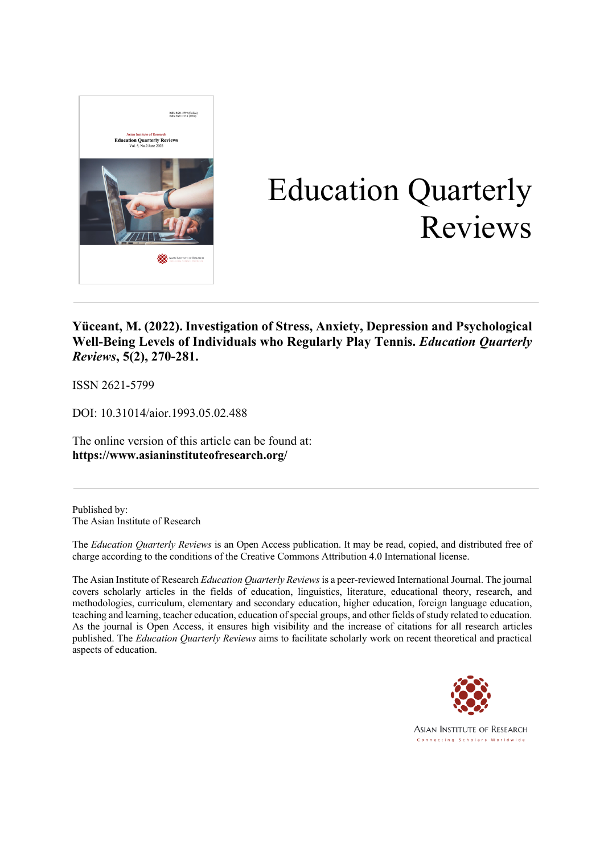

# Education Quarterly Reviews

# **Yüceant, M. (2022).Investigation of Stress, Anxiety, Depression and Psychological Well-Being Levels of Individuals who Regularly Play Tennis.** *Education Quarterly Reviews***, 5(2), 270-281.**

ISSN 2621-5799

DOI: 10.31014/aior.1993.05.02.488

The online version of this article can be found at: **https://www.asianinstituteofresearch.org/**

Published by: The Asian Institute of Research

The *Education Quarterly Reviews* is an Open Access publication. It may be read, copied, and distributed free of charge according to the conditions of the Creative Commons Attribution 4.0 International license.

The Asian Institute of Research *Education Quarterly Reviews* is a peer-reviewed International Journal. The journal covers scholarly articles in the fields of education, linguistics, literature, educational theory, research, and methodologies, curriculum, elementary and secondary education, higher education, foreign language education, teaching and learning, teacher education, education of special groups, and other fields of study related to education. As the journal is Open Access, it ensures high visibility and the increase of citations for all research articles published. The *Education Quarterly Reviews* aims to facilitate scholarly work on recent theoretical and practical aspects of education.



**ASIAN INSTITUTE OF RESEARCH** Connecting Scholars Worldwide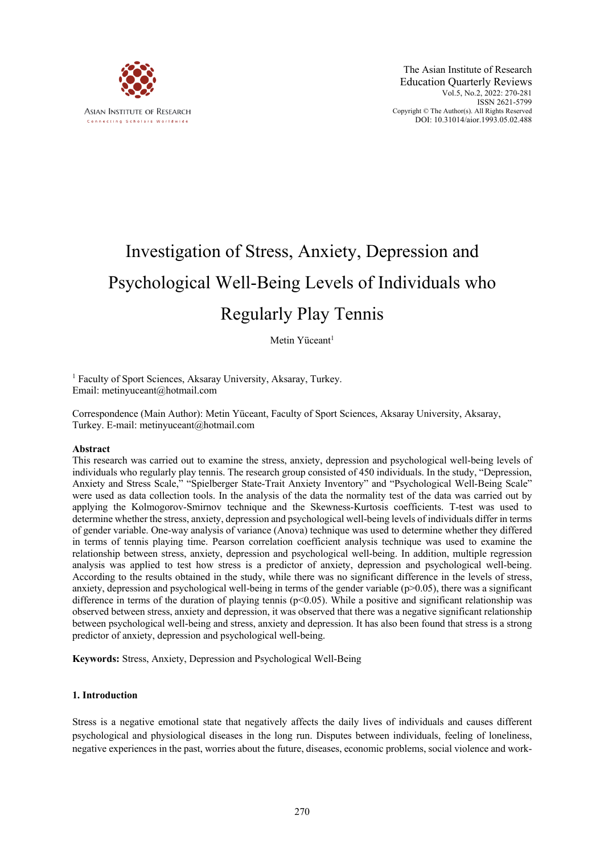

# Investigation of Stress, Anxiety, Depression and Psychological Well-Being Levels of Individuals who Regularly Play Tennis

Metin Yüceant<sup>1</sup>

<sup>1</sup> Faculty of Sport Sciences, Aksaray University, Aksaray, Turkey. Email: metinyuceant@hotmail.com

Correspondence (Main Author): Metin Yüceant, Faculty of Sport Sciences, Aksaray University, Aksaray, Turkey. E-mail: metinyuceant@hotmail.com

#### **Abstract**

This research was carried out to examine the stress, anxiety, depression and psychological well-being levels of individuals who regularly play tennis. The research group consisted of 450 individuals. In the study, "Depression, Anxiety and Stress Scale," "Spielberger State-Trait Anxiety Inventory" and "Psychological Well-Being Scale" were used as data collection tools. In the analysis of the data the normality test of the data was carried out by applying the Kolmogorov-Smirnov technique and the Skewness-Kurtosis coefficients. T-test was used to determine whether the stress, anxiety, depression and psychological well-being levels of individuals differ in terms of gender variable. One-way analysis of variance (Anova) technique was used to determine whether they differed in terms of tennis playing time. Pearson correlation coefficient analysis technique was used to examine the relationship between stress, anxiety, depression and psychological well-being. In addition, multiple regression analysis was applied to test how stress is a predictor of anxiety, depression and psychological well-being. According to the results obtained in the study, while there was no significant difference in the levels of stress, anxiety, depression and psychological well-being in terms of the gender variable  $(p>0.05)$ , there was a significant difference in terms of the duration of playing tennis ( $p<0.05$ ). While a positive and significant relationship was observed between stress, anxiety and depression, it was observed that there was a negative significant relationship between psychological well-being and stress, anxiety and depression. It has also been found that stress is a strong predictor of anxiety, depression and psychological well-being.

**Keywords:** Stress, Anxiety, Depression and Psychological Well-Being

#### **1. Introduction**

Stress is a negative emotional state that negatively affects the daily lives of individuals and causes different psychological and physiological diseases in the long run. Disputes between individuals, feeling of loneliness, negative experiences in the past, worries about the future, diseases, economic problems, social violence and work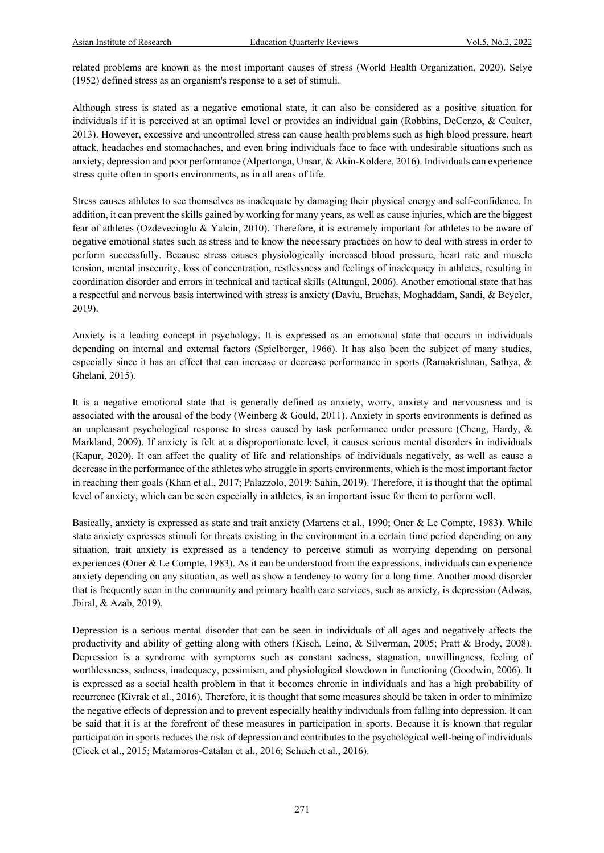related problems are known as the most important causes of stress (World Health Organization, 2020). Selye (1952) defined stress as an organism's response to a set of stimuli.

Although stress is stated as a negative emotional state, it can also be considered as a positive situation for individuals if it is perceived at an optimal level or provides an individual gain (Robbins, DeCenzo, & Coulter, 2013). However, excessive and uncontrolled stress can cause health problems such as high blood pressure, heart attack, headaches and stomachaches, and even bring individuals face to face with undesirable situations such as anxiety, depression and poor performance (Alpertonga, Unsar, & Akin-Koldere, 2016). Individuals can experience stress quite often in sports environments, as in all areas of life.

Stress causes athletes to see themselves as inadequate by damaging their physical energy and self-confidence. In addition, it can prevent the skills gained by working for many years, as well as cause injuries, which are the biggest fear of athletes (Ozdevecioglu & Yalcin, 2010). Therefore, it is extremely important for athletes to be aware of negative emotional states such as stress and to know the necessary practices on how to deal with stress in order to perform successfully. Because stress causes physiologically increased blood pressure, heart rate and muscle tension, mental insecurity, loss of concentration, restlessness and feelings of inadequacy in athletes, resulting in coordination disorder and errors in technical and tactical skills (Altungul, 2006). Another emotional state that has a respectful and nervous basis intertwined with stress is anxiety (Daviu, Bruchas, Moghaddam, Sandi, & Beyeler, 2019).

Anxiety is a leading concept in psychology. It is expressed as an emotional state that occurs in individuals depending on internal and external factors (Spielberger, 1966). It has also been the subject of many studies, especially since it has an effect that can increase or decrease performance in sports (Ramakrishnan, Sathya, & Ghelani, 2015).

It is a negative emotional state that is generally defined as anxiety, worry, anxiety and nervousness and is associated with the arousal of the body (Weinberg & Gould, 2011). Anxiety in sports environments is defined as an unpleasant psychological response to stress caused by task performance under pressure (Cheng, Hardy, & Markland, 2009). If anxiety is felt at a disproportionate level, it causes serious mental disorders in individuals (Kapur, 2020). It can affect the quality of life and relationships of individuals negatively, as well as cause a decrease in the performance of the athletes who struggle in sports environments, which is the most important factor in reaching their goals (Khan et al., 2017; Palazzolo, 2019; Sahin, 2019). Therefore, it is thought that the optimal level of anxiety, which can be seen especially in athletes, is an important issue for them to perform well.

Basically, anxiety is expressed as state and trait anxiety (Martens et al., 1990; Oner & Le Compte, 1983). While state anxiety expresses stimuli for threats existing in the environment in a certain time period depending on any situation, trait anxiety is expressed as a tendency to perceive stimuli as worrying depending on personal experiences (Oner & Le Compte, 1983). As it can be understood from the expressions, individuals can experience anxiety depending on any situation, as well as show a tendency to worry for a long time. Another mood disorder that is frequently seen in the community and primary health care services, such as anxiety, is depression (Adwas, Jbiral, & Azab, 2019).

Depression is a serious mental disorder that can be seen in individuals of all ages and negatively affects the productivity and ability of getting along with others (Kisch, Leino, & Silverman, 2005; Pratt & Brody, 2008). Depression is a syndrome with symptoms such as constant sadness, stagnation, unwillingness, feeling of worthlessness, sadness, inadequacy, pessimism, and physiological slowdown in functioning (Goodwin, 2006). It is expressed as a social health problem in that it becomes chronic in individuals and has a high probability of recurrence (Kivrak et al., 2016). Therefore, it is thought that some measures should be taken in order to minimize the negative effects of depression and to prevent especially healthy individuals from falling into depression. It can be said that it is at the forefront of these measures in participation in sports. Because it is known that regular participation in sports reduces the risk of depression and contributes to the psychological well-being of individuals (Cicek et al., 2015; Matamoros-Catalan et al., 2016; Schuch et al., 2016).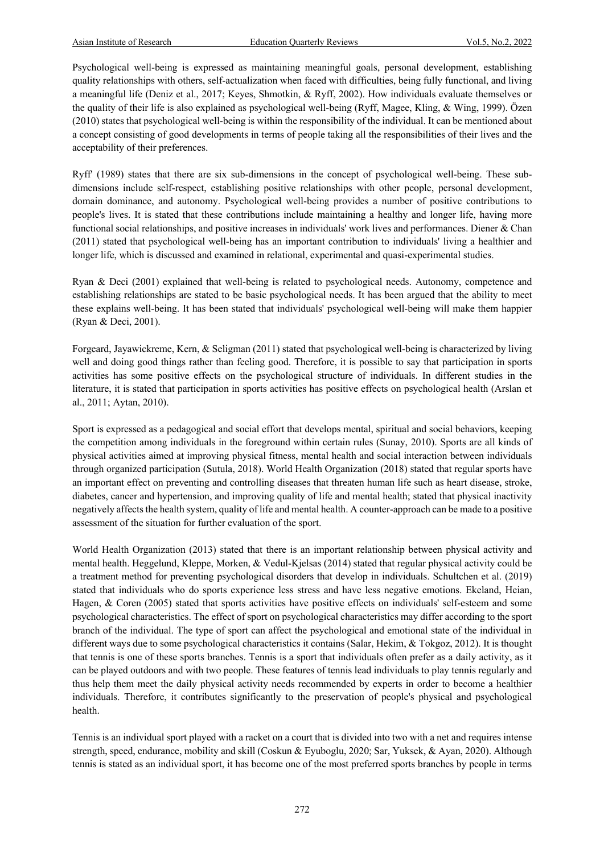Psychological well-being is expressed as maintaining meaningful goals, personal development, establishing quality relationships with others, self-actualization when faced with difficulties, being fully functional, and living a meaningful life (Deniz et al., 2017; Keyes, Shmotkin, & Ryff, 2002). How individuals evaluate themselves or the quality of their life is also explained as psychological well-being (Ryff, Magee, Kling, & Wing, 1999). Özen (2010) states that psychological well-being is within the responsibility of the individual. It can be mentioned about a concept consisting of good developments in terms of people taking all the responsibilities of their lives and the acceptability of their preferences.

Ryff' (1989) states that there are six sub-dimensions in the concept of psychological well-being. These subdimensions include self-respect, establishing positive relationships with other people, personal development, domain dominance, and autonomy. Psychological well-being provides a number of positive contributions to people's lives. It is stated that these contributions include maintaining a healthy and longer life, having more functional social relationships, and positive increases in individuals' work lives and performances. Diener & Chan (2011) stated that psychological well-being has an important contribution to individuals' living a healthier and longer life, which is discussed and examined in relational, experimental and quasi-experimental studies.

Ryan & Deci (2001) explained that well-being is related to psychological needs. Autonomy, competence and establishing relationships are stated to be basic psychological needs. It has been argued that the ability to meet these explains well-being. It has been stated that individuals' psychological well-being will make them happier (Ryan & Deci, 2001).

Forgeard, Jayawickreme, Kern, & Seligman (2011) stated that psychological well-being is characterized by living well and doing good things rather than feeling good. Therefore, it is possible to say that participation in sports activities has some positive effects on the psychological structure of individuals. In different studies in the literature, it is stated that participation in sports activities has positive effects on psychological health (Arslan et al., 2011; Aytan, 2010).

Sport is expressed as a pedagogical and social effort that develops mental, spiritual and social behaviors, keeping the competition among individuals in the foreground within certain rules (Sunay, 2010). Sports are all kinds of physical activities aimed at improving physical fitness, mental health and social interaction between individuals through organized participation (Sutula, 2018). World Health Organization (2018) stated that regular sports have an important effect on preventing and controlling diseases that threaten human life such as heart disease, stroke, diabetes, cancer and hypertension, and improving quality of life and mental health; stated that physical inactivity negatively affects the health system, quality of life and mental health. A counter-approach can be made to a positive assessment of the situation for further evaluation of the sport.

World Health Organization (2013) stated that there is an important relationship between physical activity and mental health. Heggelund, Kleppe, Morken, & Vedul-Kjelsas (2014) stated that regular physical activity could be a treatment method for preventing psychological disorders that develop in individuals. Schultchen et al. (2019) stated that individuals who do sports experience less stress and have less negative emotions. Ekeland, Heian, Hagen, & Coren (2005) stated that sports activities have positive effects on individuals' self-esteem and some psychological characteristics. The effect of sport on psychological characteristics may differ according to the sport branch of the individual. The type of sport can affect the psychological and emotional state of the individual in different ways due to some psychological characteristics it contains (Salar, Hekim, & Tokgoz, 2012). It is thought that tennis is one of these sports branches. Tennis is a sport that individuals often prefer as a daily activity, as it can be played outdoors and with two people. These features of tennis lead individuals to play tennis regularly and thus help them meet the daily physical activity needs recommended by experts in order to become a healthier individuals. Therefore, it contributes significantly to the preservation of people's physical and psychological health.

Tennis is an individual sport played with a racket on a court that is divided into two with a net and requires intense strength, speed, endurance, mobility and skill (Coskun & Eyuboglu, 2020; Sar, Yuksek, & Ayan, 2020). Although tennis is stated as an individual sport, it has become one of the most preferred sports branches by people in terms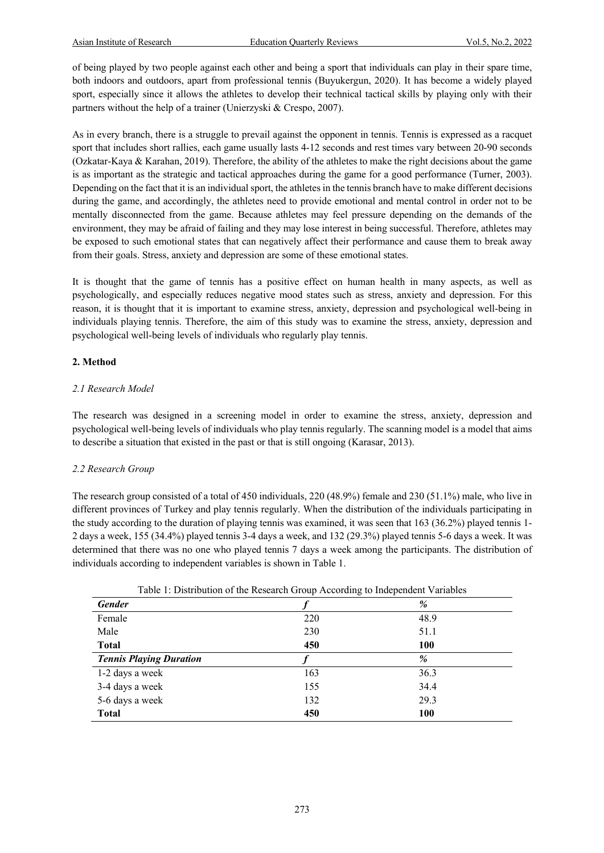of being played by two people against each other and being a sport that individuals can play in their spare time, both indoors and outdoors, apart from professional tennis (Buyukergun, 2020). It has become a widely played sport, especially since it allows the athletes to develop their technical tactical skills by playing only with their partners without the help of a trainer (Unierzyski & Crespo, 2007).

As in every branch, there is a struggle to prevail against the opponent in tennis. Tennis is expressed as a racquet sport that includes short rallies, each game usually lasts 4-12 seconds and rest times vary between 20-90 seconds (Ozkatar-Kaya & Karahan, 2019). Therefore, the ability of the athletes to make the right decisions about the game is as important as the strategic and tactical approaches during the game for a good performance (Turner, 2003). Depending on the fact that it is an individual sport, the athletes in the tennis branch have to make different decisions during the game, and accordingly, the athletes need to provide emotional and mental control in order not to be mentally disconnected from the game. Because athletes may feel pressure depending on the demands of the environment, they may be afraid of failing and they may lose interest in being successful. Therefore, athletes may be exposed to such emotional states that can negatively affect their performance and cause them to break away from their goals. Stress, anxiety and depression are some of these emotional states.

It is thought that the game of tennis has a positive effect on human health in many aspects, as well as psychologically, and especially reduces negative mood states such as stress, anxiety and depression. For this reason, it is thought that it is important to examine stress, anxiety, depression and psychological well-being in individuals playing tennis. Therefore, the aim of this study was to examine the stress, anxiety, depression and psychological well-being levels of individuals who regularly play tennis.

#### **2. Method**

#### *2.1 Research Model*

The research was designed in a screening model in order to examine the stress, anxiety, depression and psychological well-being levels of individuals who play tennis regularly. The scanning model is a model that aims to describe a situation that existed in the past or that is still ongoing (Karasar, 2013).

## *2.2 Research Group*

The research group consisted of a total of 450 individuals, 220 (48.9%) female and 230 (51.1%) male, who live in different provinces of Turkey and play tennis regularly. When the distribution of the individuals participating in the study according to the duration of playing tennis was examined, it was seen that 163 (36.2%) played tennis 1- 2 days a week, 155 (34.4%) played tennis 3-4 days a week, and 132 (29.3%) played tennis 5-6 days a week. It was determined that there was no one who played tennis 7 days a week among the participants. The distribution of individuals according to independent variables is shown in Table 1.

| Lavic 1. Distribution of the Research Group According to muependent variables |     |      |  |  |  |  |  |  |
|-------------------------------------------------------------------------------|-----|------|--|--|--|--|--|--|
| <b>Gender</b>                                                                 |     | %    |  |  |  |  |  |  |
| Female                                                                        | 220 | 48.9 |  |  |  |  |  |  |
| Male                                                                          | 230 | 51.1 |  |  |  |  |  |  |
| <b>Total</b>                                                                  | 450 | 100  |  |  |  |  |  |  |
| <b>Tennis Playing Duration</b>                                                |     | %    |  |  |  |  |  |  |
| 1-2 days a week                                                               | 163 | 36.3 |  |  |  |  |  |  |
| 3-4 days a week                                                               | 155 | 34.4 |  |  |  |  |  |  |
| 5-6 days a week                                                               | 132 | 29.3 |  |  |  |  |  |  |
| <b>Total</b>                                                                  | 450 | 100  |  |  |  |  |  |  |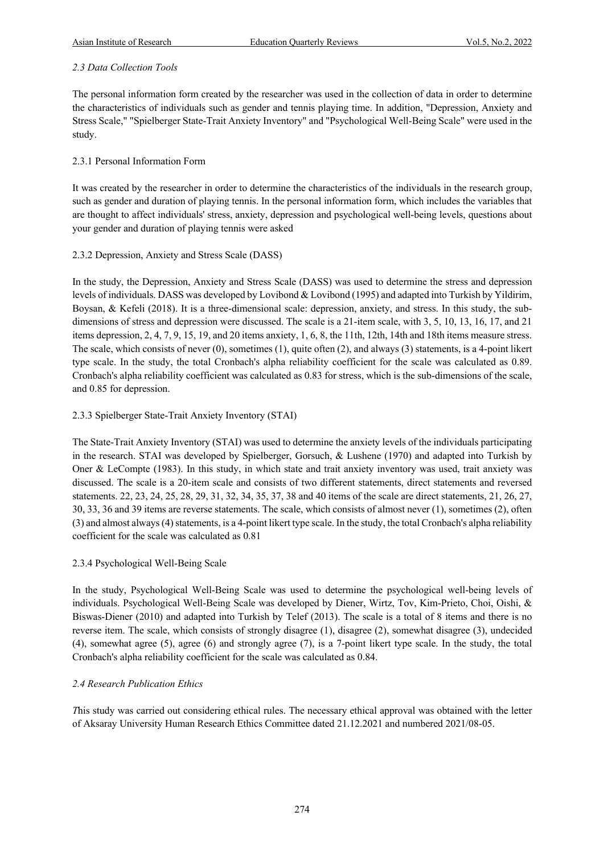## *2.3 Data Collection Tools*

The personal information form created by the researcher was used in the collection of data in order to determine the characteristics of individuals such as gender and tennis playing time. In addition, "Depression, Anxiety and Stress Scale," "Spielberger State-Trait Anxiety Inventory" and "Psychological Well-Being Scale" were used in the study.

## 2.3.1 Personal Information Form

It was created by the researcher in order to determine the characteristics of the individuals in the research group, such as gender and duration of playing tennis. In the personal information form, which includes the variables that are thought to affect individuals' stress, anxiety, depression and psychological well-being levels, questions about your gender and duration of playing tennis were asked

## 2.3.2 Depression, Anxiety and Stress Scale (DASS)

In the study, the Depression, Anxiety and Stress Scale (DASS) was used to determine the stress and depression levels of individuals. DASS was developed by Lovibond & Lovibond (1995) and adapted into Turkish by Yildirim, Boysan, & Kefeli (2018). It is a three-dimensional scale: depression, anxiety, and stress. In this study, the subdimensions of stress and depression were discussed. The scale is a 21-item scale, with 3, 5, 10, 13, 16, 17, and 21 items depression, 2, 4, 7, 9, 15, 19, and 20 items anxiety, 1, 6, 8, the 11th, 12th, 14th and 18th items measure stress. The scale, which consists of never (0), sometimes (1), quite often (2), and always (3) statements, is a 4-point likert type scale. In the study, the total Cronbach's alpha reliability coefficient for the scale was calculated as 0.89. Cronbach's alpha reliability coefficient was calculated as 0.83 for stress, which is the sub-dimensions of the scale, and 0.85 for depression.

# 2.3.3 Spielberger State-Trait Anxiety Inventory (STAI)

The State-Trait Anxiety Inventory (STAI) was used to determine the anxiety levels of the individuals participating in the research. STAI was developed by Spielberger, Gorsuch, & Lushene (1970) and adapted into Turkish by Oner & LeCompte (1983). In this study, in which state and trait anxiety inventory was used, trait anxiety was discussed. The scale is a 20-item scale and consists of two different statements, direct statements and reversed statements. 22, 23, 24, 25, 28, 29, 31, 32, 34, 35, 37, 38 and 40 items of the scale are direct statements, 21, 26, 27, 30, 33, 36 and 39 items are reverse statements. The scale, which consists of almost never (1), sometimes (2), often (3) and almost always (4) statements, is a 4-point likert type scale. In the study, the total Cronbach's alpha reliability coefficient for the scale was calculated as 0.81

## 2.3.4 Psychological Well-Being Scale

In the study, Psychological Well-Being Scale was used to determine the psychological well-being levels of individuals. Psychological Well-Being Scale was developed by Diener, Wirtz, Tov, Kim-Prieto, Choi, Oishi, & Biswas-Diener (2010) and adapted into Turkish by Telef (2013). The scale is a total of 8 items and there is no reverse item. The scale, which consists of strongly disagree (1), disagree (2), somewhat disagree (3), undecided (4), somewhat agree (5), agree (6) and strongly agree (7), is a 7-point likert type scale. In the study, the total Cronbach's alpha reliability coefficient for the scale was calculated as 0.84.

## *2.4 Research Publication Ethics*

*T*his study was carried out considering ethical rules. The necessary ethical approval was obtained with the letter of Aksaray University Human Research Ethics Committee dated 21.12.2021 and numbered 2021/08-05.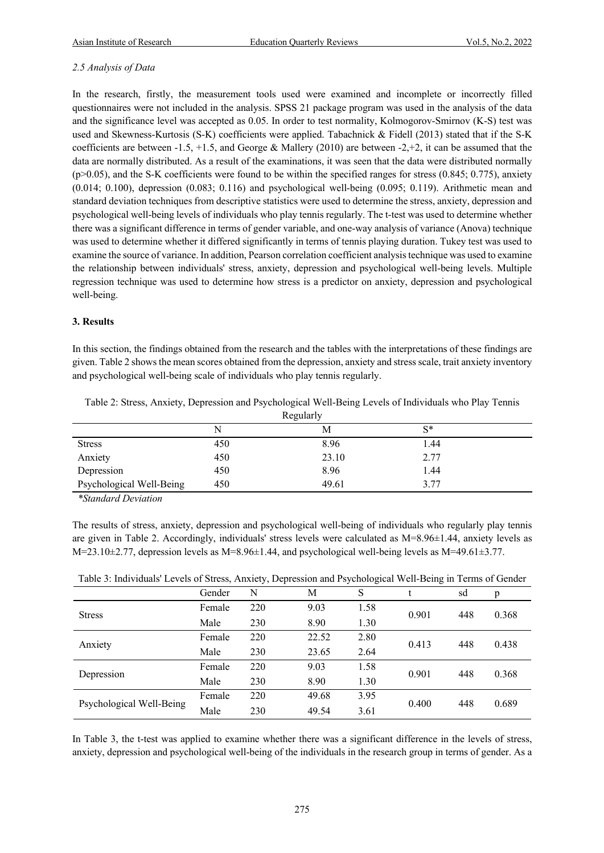#### *2.5 Analysis of Data*

In the research, firstly, the measurement tools used were examined and incomplete or incorrectly filled questionnaires were not included in the analysis. SPSS 21 package program was used in the analysis of the data and the significance level was accepted as 0.05. In order to test normality, Kolmogorov-Smirnov (K-S) test was used and Skewness-Kurtosis (S-K) coefficients were applied. Tabachnick & Fidell (2013) stated that if the S-K coefficients are between -1.5, +1.5, and George & Mallery (2010) are between -2,+2, it can be assumed that the data are normally distributed. As a result of the examinations, it was seen that the data were distributed normally  $(p>0.05)$ , and the S-K coefficients were found to be within the specified ranges for stress  $(0.845; 0.775)$ , anxiety (0.014; 0.100), depression (0.083; 0.116) and psychological well-being (0.095; 0.119). Arithmetic mean and standard deviation techniques from descriptive statistics were used to determine the stress, anxiety, depression and psychological well-being levels of individuals who play tennis regularly. The t-test was used to determine whether there was a significant difference in terms of gender variable, and one-way analysis of variance (Anova) technique was used to determine whether it differed significantly in terms of tennis playing duration. Tukey test was used to examine the source of variance. In addition, Pearson correlation coefficient analysis technique was used to examine the relationship between individuals' stress, anxiety, depression and psychological well-being levels. Multiple regression technique was used to determine how stress is a predictor on anxiety, depression and psychological well-being.

#### **3. Results**

In this section, the findings obtained from the research and the tables with the interpretations of these findings are given. Table 2 shows the mean scores obtained from the depression, anxiety and stress scale, trait anxiety inventory and psychological well-being scale of individuals who play tennis regularly.

| Regularly                |     |       |       |  |  |  |  |
|--------------------------|-----|-------|-------|--|--|--|--|
|                          |     | M     | $S^*$ |  |  |  |  |
| <b>Stress</b>            | 450 | 8.96  | 1.44  |  |  |  |  |
| Anxiety                  | 450 | 23.10 | 2.77  |  |  |  |  |
| Depression               | 450 | 8.96  | 1.44  |  |  |  |  |
| Psychological Well-Being | 450 | 49.61 | 3.77  |  |  |  |  |

Table 2: Stress, Anxiety, Depression and Psychological Well-Being Levels of Individuals who Play Tennis

*\*Standard Deviation*

The results of stress, anxiety, depression and psychological well-being of individuals who regularly play tennis are given in Table 2. Accordingly, individuals' stress levels were calculated as M=8.96±1.44, anxiety levels as M=23.10±2.77, depression levels as M=8.96±1.44, and psychological well-being levels as M=49.61±3.77.

| Table 3: Individuals' Levels of Stress, Anxiety, Depression and Psychological Well-Being in Terms of Gender |  |  |  |
|-------------------------------------------------------------------------------------------------------------|--|--|--|
|                                                                                                             |  |  |  |

|                          | Gender | N   | M     | S    |       | sd  | p     |
|--------------------------|--------|-----|-------|------|-------|-----|-------|
| <b>Stress</b>            | Female | 220 | 9.03  | 1.58 | 0.901 | 448 |       |
|                          | Male   | 230 | 8.90  | 1.30 |       |     | 0.368 |
| Anxiety                  | Female | 220 | 22.52 | 2.80 | 0.413 | 448 | 0.438 |
|                          | Male   | 230 | 23.65 | 2.64 |       |     |       |
| Depression               | Female | 220 | 9.03  | 1.58 | 0.901 | 448 | 0.368 |
|                          | Male   | 230 | 8.90  | 1.30 |       |     |       |
| Psychological Well-Being | Female | 220 | 49.68 | 3.95 | 0.400 | 448 |       |
|                          | Male   | 230 | 49.54 | 3.61 |       |     | 0.689 |

In Table 3, the t-test was applied to examine whether there was a significant difference in the levels of stress, anxiety, depression and psychological well-being of the individuals in the research group in terms of gender. As a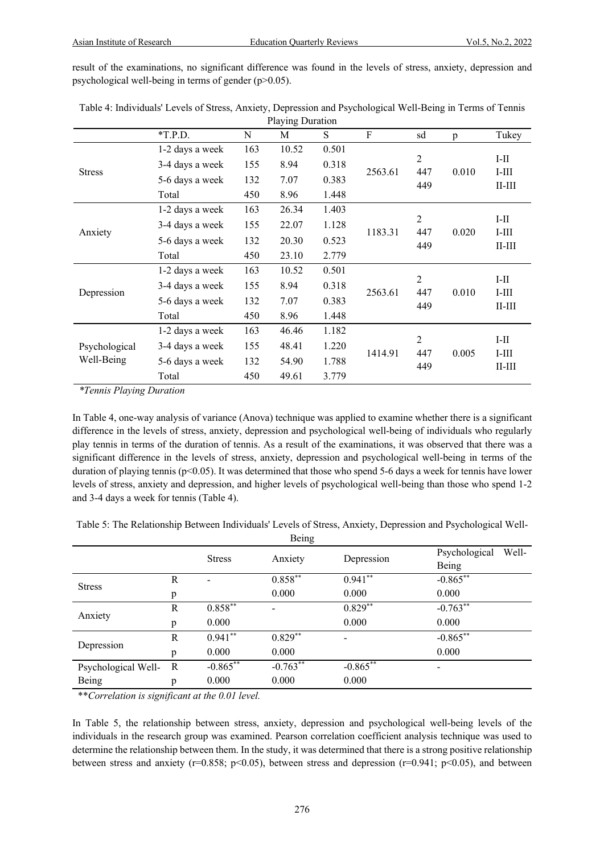result of the examinations, no significant difference was found in the levels of stress, anxiety, depression and psychological well-being in terms of gender (p>0.05).

|               | Traving Duration |     |       |       |             |                       |       |                         |  |
|---------------|------------------|-----|-------|-------|-------------|-----------------------|-------|-------------------------|--|
|               | $*T.P.D.$        | N   | М     | S     | $\mathbf F$ | sd                    | p     | Tukey                   |  |
|               | 1-2 days a week  | 163 | 10.52 | 0.501 |             |                       |       |                         |  |
|               | 3-4 days a week  | 155 | 8.94  | 0.318 |             | 2                     |       | $I-II$                  |  |
| <b>Stress</b> | 5-6 days a week  | 132 | 7.07  | 0.383 | 2563.61     | 447<br>449            | 0.010 | $I-III$<br>$II$ - $III$ |  |
|               | Total            | 450 | 8.96  | 1.448 |             |                       |       |                         |  |
|               | 1-2 days a week  | 163 | 26.34 | 1.403 |             |                       |       |                         |  |
| Anxiety       | 3-4 days a week  | 155 | 22.07 | 1.128 | 1183.31     | $\overline{c}$<br>447 | 0.020 | $I-II$<br>$I-III$       |  |
|               | 5-6 days a week  | 132 | 20.30 | 0.523 |             | 449                   |       | $II$ - $III$            |  |
|               | Total            | 450 | 23.10 | 2.779 |             |                       |       |                         |  |
|               | 1-2 days a week  | 163 | 10.52 | 0.501 |             |                       |       |                         |  |
|               | 3-4 days a week  | 155 | 8.94  | 0.318 | 2563.61     | $\overline{2}$<br>447 | 0.010 | $I-II$<br>$I$ -III      |  |
| Depression    | 5-6 days a week  | 132 | 7.07  | 0.383 |             | 449                   |       | $II$ - $III$            |  |
|               | Total            | 450 | 8.96  | 1.448 |             |                       |       |                         |  |
|               | 1-2 days a week  | 163 | 46.46 | 1.182 |             |                       |       |                         |  |
| Psychological | 3-4 days a week  | 155 | 48.41 | 1.220 | 1414.91     | $\overline{2}$<br>447 | 0.005 | $I-II$                  |  |
| Well-Being    | 5-6 days a week  | 132 | 54.90 | 1.788 |             | 449                   |       | $I-III$<br>$II$ - $III$ |  |
|               | Total            | 450 | 49.61 | 3.779 |             |                       |       |                         |  |

Table 4: Individuals' Levels of Stress, Anxiety, Depression and Psychological Well-Being in Terms of Tennis Playing Duration

*\*Tennis Playing Duration*

In Table 4, one-way analysis of variance (Anova) technique was applied to examine whether there is a significant difference in the levels of stress, anxiety, depression and psychological well-being of individuals who regularly play tennis in terms of the duration of tennis. As a result of the examinations, it was observed that there was a significant difference in the levels of stress, anxiety, depression and psychological well-being in terms of the duration of playing tennis (p<0.05). It was determined that those who spend 5-6 days a week for tennis have lower levels of stress, anxiety and depression, and higher levels of psychological well-being than those who spend 1-2 and 3-4 days a week for tennis (Table 4).

Table 5: The Relationship Between Individuals' Levels of Stress, Anxiety, Depression and Psychological Well-

| Being               |              |               |                       |             |                        |  |  |
|---------------------|--------------|---------------|-----------------------|-------------|------------------------|--|--|
|                     |              | <b>Stress</b> |                       |             | Psychological<br>Well- |  |  |
|                     |              |               | Anxiety               | Depression  | Being                  |  |  |
| <b>Stress</b>       | R            |               | $0.858***$            | $0.941**$   | $-0.865***$            |  |  |
|                     | p            |               | 0.000                 | 0.000       | 0.000                  |  |  |
| Anxiety             | $\mathbb{R}$ | $0.858***$    |                       | $0.829**$   | $-0.763**$             |  |  |
|                     | p            | 0.000         |                       | 0.000       | 0.000                  |  |  |
| Depression          | $\mathbb{R}$ | $0.941**$     | $0.829$ <sup>**</sup> | -           | $-0.865***$            |  |  |
|                     | p            | 0.000         | 0.000                 |             | 0.000                  |  |  |
| Psychological Well- | R            | $-0.865***$   | $-0.763**$            | $-0.865***$ | -                      |  |  |
| Being               | p            | 0.000         | 0.000                 | 0.000       |                        |  |  |

\*\**Correlation is significant at the 0.01 level.*

In Table 5, the relationship between stress, anxiety, depression and psychological well-being levels of the individuals in the research group was examined. Pearson correlation coefficient analysis technique was used to determine the relationship between them. In the study, it was determined that there is a strong positive relationship between stress and anxiety (r=0.858; p<0.05), between stress and depression (r=0.941; p<0.05), and between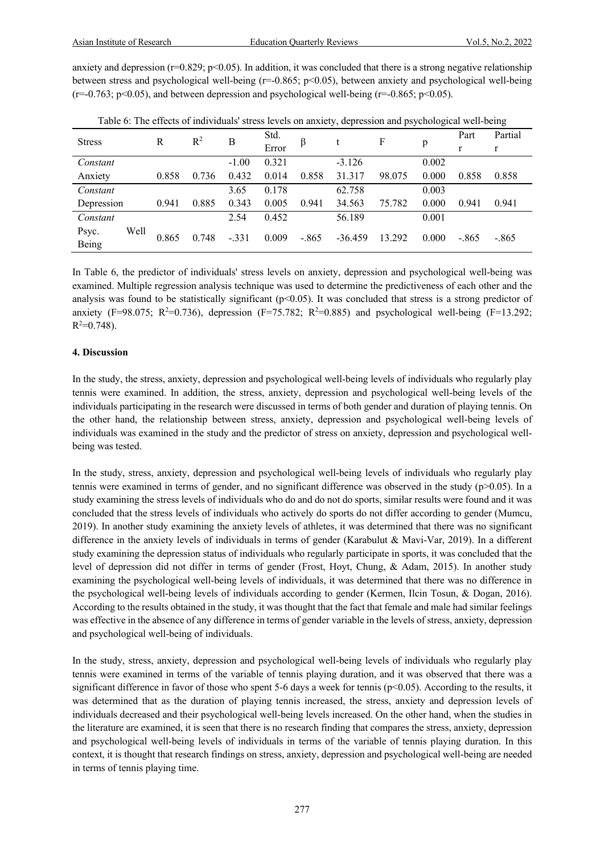anxiety and depression ( $r=0.829$ ;  $p<0.05$ ). In addition, it was concluded that there is a strong negative relationship between stress and psychological well-being (r=-0.865; p<0.05), between anxiety and psychological well-being  $(r=0.763; p<0.05)$ , and between depression and psychological well-being  $(r=0.865; p<0.05)$ .

|               |       |       |         |       |         | $\mathbf{r}$ | $\overline{1}$ | ັ     |         | ັ       |
|---------------|-------|-------|---------|-------|---------|--------------|----------------|-------|---------|---------|
| <b>Stress</b> | R     | $R^2$ | В       | Std.  | ß       |              | F              |       | Part    | Partial |
|               |       |       |         | Error |         |              |                | p     | r       | r       |
| Constant      |       |       | $-1.00$ | 0.321 |         | $-3.126$     |                | 0.002 |         |         |
| Anxiety       | 0.858 | 0.736 | 0.432   | 0.014 | 0.858   | 31.317       | 98.075         | 0.000 | 0.858   | 0.858   |
| Constant      |       |       | 3.65    | 0.178 |         | 62.758       |                | 0.003 |         |         |
| Depression    | 0.941 | 0.885 | 0.343   | 0.005 | 0.941   | 34.563       | 75.782         | 0.000 | 0.941   | 0.941   |
| Constant      |       |       | 2.54    | 0.452 |         | 56.189       |                | 0.001 |         |         |
| Well<br>Psyc. | 0.865 | 0.748 | $-.331$ | 0.009 | $-.865$ | $-36.459$    | 13.292         | 0.000 | $-.865$ | $-.865$ |
| Being         |       |       |         |       |         |              |                |       |         |         |

Table 6: The effects of individuals' stress levels on anxiety, depression and psychological well-being

In Table 6, the predictor of individuals' stress levels on anxiety, depression and psychological well-being was examined. Multiple regression analysis technique was used to determine the predictiveness of each other and the analysis was found to be statistically significant ( $p<0.05$ ). It was concluded that stress is a strong predictor of anxiety (F=98.075; R<sup>2</sup>=0.736), depression (F=75.782; R<sup>2</sup>=0.885) and psychological well-being (F=13.292;  $R^2 = 0.748$ ).

#### **4. Discussion**

In the study, the stress, anxiety, depression and psychological well-being levels of individuals who regularly play tennis were examined. In addition, the stress, anxiety, depression and psychological well-being levels of the individuals participating in the research were discussed in terms of both gender and duration of playing tennis. On the other hand, the relationship between stress, anxiety, depression and psychological well-being levels of individuals was examined in the study and the predictor of stress on anxiety, depression and psychological wellbeing was tested.

In the study, stress, anxiety, depression and psychological well-being levels of individuals who regularly play tennis were examined in terms of gender, and no significant difference was observed in the study ( $p$  $>$ 0.05). In a study examining the stress levels of individuals who do and do not do sports, similar results were found and it was concluded that the stress levels of individuals who actively do sports do not differ according to gender (Mumcu, 2019). In another study examining the anxiety levels of athletes, it was determined that there was no significant difference in the anxiety levels of individuals in terms of gender (Karabulut & Mavi-Var, 2019). In a different study examining the depression status of individuals who regularly participate in sports, it was concluded that the level of depression did not differ in terms of gender (Frost, Hoyt, Chung, & Adam, 2015). In another study examining the psychological well-being levels of individuals, it was determined that there was no difference in the psychological well-being levels of individuals according to gender (Kermen, Ilcin Tosun, & Dogan, 2016). According to the results obtained in the study, it was thought that the fact that female and male had similar feelings was effective in the absence of any difference in terms of gender variable in the levels of stress, anxiety, depression and psychological well-being of individuals.

In the study, stress, anxiety, depression and psychological well-being levels of individuals who regularly play tennis were examined in terms of the variable of tennis playing duration, and it was observed that there was a significant difference in favor of those who spent 5-6 days a week for tennis ( $p<0.05$ ). According to the results, it was determined that as the duration of playing tennis increased, the stress, anxiety and depression levels of individuals decreased and their psychological well-being levels increased. On the other hand, when the studies in the literature are examined, it is seen that there is no research finding that compares the stress, anxiety, depression and psychological well-being levels of individuals in terms of the variable of tennis playing duration. In this context, it is thought that research findings on stress, anxiety, depression and psychological well-being are needed in terms of tennis playing time.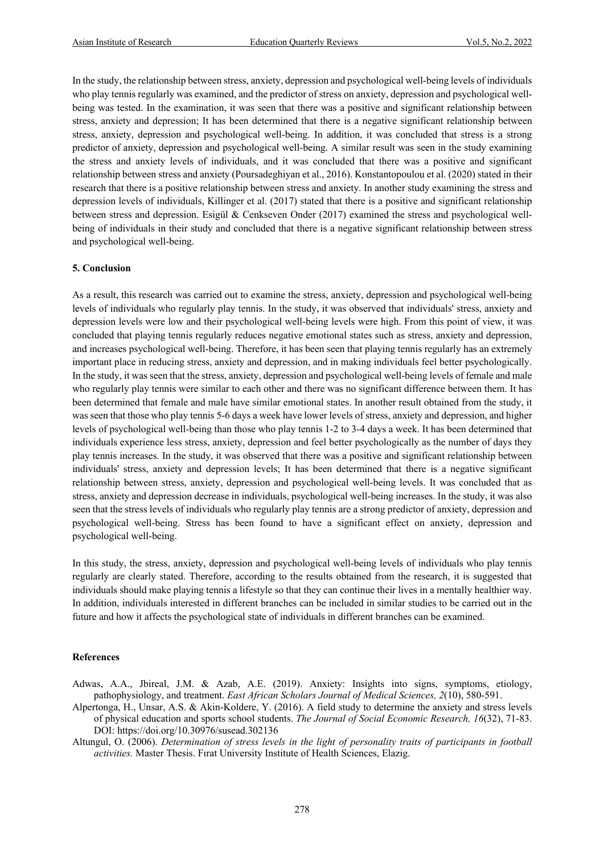In the study, the relationship between stress, anxiety, depression and psychological well-being levels of individuals who play tennis regularly was examined, and the predictor of stress on anxiety, depression and psychological wellbeing was tested. In the examination, it was seen that there was a positive and significant relationship between stress, anxiety and depression; It has been determined that there is a negative significant relationship between stress, anxiety, depression and psychological well-being. In addition, it was concluded that stress is a strong predictor of anxiety, depression and psychological well-being. A similar result was seen in the study examining the stress and anxiety levels of individuals, and it was concluded that there was a positive and significant relationship between stress and anxiety (Poursadeghiyan et al., 2016). Konstantopoulou et al. (2020) stated in their research that there is a positive relationship between stress and anxiety. In another study examining the stress and depression levels of individuals, Killinger et al. (2017) stated that there is a positive and significant relationship between stress and depression. Esigül & Cenkseven Onder (2017) examined the stress and psychological wellbeing of individuals in their study and concluded that there is a negative significant relationship between stress and psychological well-being.

#### **5. Conclusion**

As a result, this research was carried out to examine the stress, anxiety, depression and psychological well-being levels of individuals who regularly play tennis. In the study, it was observed that individuals' stress, anxiety and depression levels were low and their psychological well-being levels were high. From this point of view, it was concluded that playing tennis regularly reduces negative emotional states such as stress, anxiety and depression, and increases psychological well-being. Therefore, it has been seen that playing tennis regularly has an extremely important place in reducing stress, anxiety and depression, and in making individuals feel better psychologically. In the study, it was seen that the stress, anxiety, depression and psychological well-being levels of female and male who regularly play tennis were similar to each other and there was no significant difference between them. It has been determined that female and male have similar emotional states. In another result obtained from the study, it was seen that those who play tennis 5-6 days a week have lower levels of stress, anxiety and depression, and higher levels of psychological well-being than those who play tennis 1-2 to 3-4 days a week. It has been determined that individuals experience less stress, anxiety, depression and feel better psychologically as the number of days they play tennis increases. In the study, it was observed that there was a positive and significant relationship between individuals' stress, anxiety and depression levels; It has been determined that there is a negative significant relationship between stress, anxiety, depression and psychological well-being levels. It was concluded that as stress, anxiety and depression decrease in individuals, psychological well-being increases. In the study, it was also seen that the stress levels of individuals who regularly play tennis are a strong predictor of anxiety, depression and psychological well-being. Stress has been found to have a significant effect on anxiety, depression and psychological well-being.

In this study, the stress, anxiety, depression and psychological well-being levels of individuals who play tennis regularly are clearly stated. Therefore, according to the results obtained from the research, it is suggested that individuals should make playing tennis a lifestyle so that they can continue their lives in a mentally healthier way. In addition, individuals interested in different branches can be included in similar studies to be carried out in the future and how it affects the psychological state of individuals in different branches can be examined.

#### **References**

- Adwas, A.A., Jbireal, J.M. & Azab, A.E. (2019). Anxiety: Insights into signs, symptoms, etiology, pathophysiology, and treatment. *East African Scholars Journal of Medical Sciences, 2*(10), 580-591.
- Alpertonga, H., Unsar, A.S. & Akin-Koldere, Y. (2016). A field study to determine the anxiety and stress levels of physical education and sports school students. *The Journal of Social Economic Research, 16*(32), 71-83. DOI: https://doi.org/10.30976/susead.302136
- Altungul, O. (2006). *Determination of stress levels in the light of personality traits of participants in football activities.* Master Thesis. Fırat University Institute of Health Sciences, Elazig.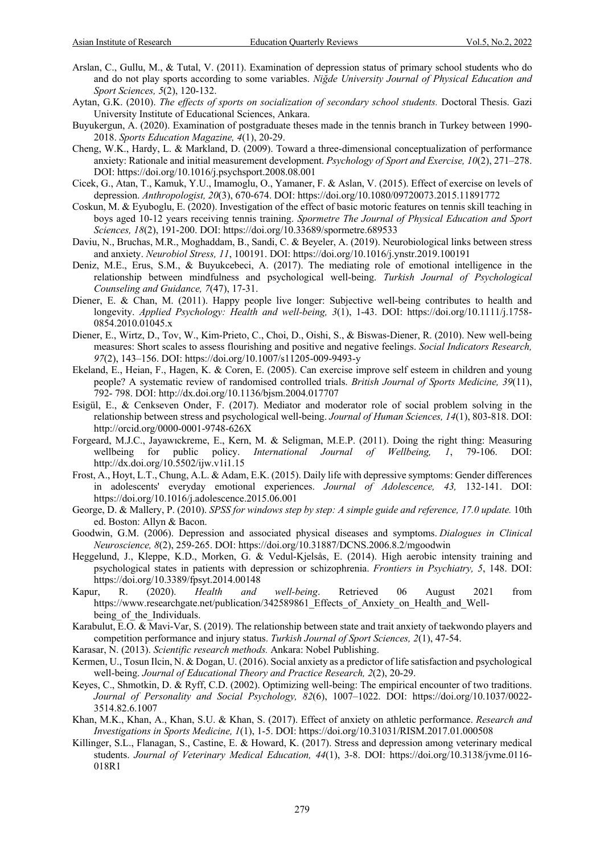- Arslan, C., Gullu, M., & Tutal, V. (2011). Examination of depression status of primary school students who do and do not play sports according to some variables. *Niğde University Journal of Physical Education and Sport Sciences, 5*(2), 120-132.
- Aytan, G.K. (2010). *The effects of sports on socialization of secondary school students.* Doctoral Thesis. Gazi University Institute of Educational Sciences, Ankara.
- Buyukergun, A. (2020). Examination of postgraduate theses made in the tennis branch in Turkey between 1990- 2018. *Sports Education Magazine, 4*(1), 20-29.
- Cheng, W.K., Hardy, L. & Markland, D. (2009). Toward a three-dimensional conceptualization of performance anxiety: Rationale and initial measurement development. *Psychology of Sport and Exercise, 10*(2), 271–278. DOI: https://doi.org/10.1016/j.psychsport.2008.08.001
- Cicek, G., Atan, T., Kamuk, Y.U., Imamoglu, O., Yamaner, F. & Aslan, V. (2015). Effect of exercise on levels of depression. *Anthropologist, 20*(3), 670-674. DOI: https://doi.org/10.1080/09720073.2015.11891772
- Coskun, M. & Eyuboglu, E. (2020). Investigation of the effect of basic motoric features on tennis skill teaching in boys aged 10-12 years receiving tennis training. *Spormetre The Journal of Physical Education and Sport Sciences, 18*(2), 191-200. DOI: https://doi.org/10.33689/spormetre.689533
- Daviu, N., Bruchas, M.R., Moghaddam, B., Sandi, C. & Beyeler, A. (2019). Neurobiological links between stress and anxiety. *Neurobiol Stress, 11*, 100191. DOI: https://doi.org/10.1016/j.ynstr.2019.100191
- Deniz, M.E., Erus, S.M., & Buyukcebeci, A. (2017). The mediating role of emotional intelligence in the relationship between mindfulness and psychological well-being. *Turkish Journal of Psychological Counseling and Guidance, 7*(47), 17-31.
- Diener, E. & Chan, M. (2011). Happy people live longer: Subjective well-being contributes to health and longevity. *Applied Psychology: Health and well-being, 3*(1), 1-43. DOI: https://doi.org/10.1111/j.1758- 0854.2010.01045.x
- Diener, E., Wirtz, D., Tov, W., Kim-Prieto, C., Choi, D., Oishi, S., & Biswas-Diener, R. (2010). New well-being measures: Short scales to assess flourishing and positive and negative feelings. *Social Indicators Research, 97*(2), 143–156. DOI: https://doi.org/10.1007/s11205-009-9493-y
- Ekeland, E., Heian, F., Hagen, K. & Coren, E. (2005). Can exercise improve self esteem in children and young people? A systematic review of randomised controlled trials. *British Journal of Sports Medicine, 39*(11), 792- 798. DOI: http://dx.doi.org/10.1136/bjsm.2004.017707
- Esigül, E., & Cenkseven Onder, F. (2017). Mediator and moderator role of social problem solving in the relationship between stress and psychological well-being. *Journal of Human Sciences, 14*(1), 803-818. DOI: http://orcid.org/0000-0001-9748-626X
- Forgeard, M.J.C., Jayawıckreme, E., Kern, M. & Seligman, M.E.P. (2011). Doing the right thing: Measuring wellbeing for public policy. *International Journal of Wellbeing, 1*, 79-106. DOI: http://dx.doi.org/10.5502/ijw.v1i1.15
- Frost, A., Hoyt, L.T., Chung, A.L. & Adam, E.K. (2015). Daily life with depressive symptoms: Gender differences in adolescents' everyday emotional experiences. *Journal of Adolescence, 43,* 132-141. DOI: https://doi.org/10.1016/j.adolescence.2015.06.001
- George, D. & Mallery, P. (2010). *SPSS for windows step by step: A simple guide and reference, 17.0 update.* 10th ed. Boston: Allyn & Bacon.
- Goodwin, G.M. (2006). Depression and associated physical diseases and symptoms. *Dialogues in Clinical Neuroscience, 8*(2), 259-265. DOI: https://doi.org/10.31887/DCNS.2006.8.2/mgoodwin
- Heggelund, J., Kleppe, K.D., Morken, G. & Vedul-Kjelsås, E. (2014). High aerobic intensity training and psychological states in patients with depression or schizophrenia. *Frontiers in Psychiatry, 5*, 148. DOI: https://doi.org/10.3389/fpsyt.2014.00148
- Kapur, R. (2020). *Health and well-being*. Retrieved 06 August 2021 from https://www.researchgate.net/publication/342589861\_Effects\_of\_Anxiety\_on\_Health\_and\_Wellbeing of the Individuals.
- Karabulut, E.O. & Mavi-Var, S. (2019). The relationship between state and trait anxiety of taekwondo players and competition performance and injury status. *Turkish Journal of Sport Sciences, 2*(1), 47-54.
- Karasar, N. (2013). *Scientific research methods.* Ankara: Nobel Publishing.
- Kermen, U., Tosun Ilcin, N. & Dogan, U. (2016). Social anxiety as a predictor of life satisfaction and psychological well-being. *Journal of Educational Theory and Practice Research, 2*(2), 20-29.
- Keyes, C., Shmotkin, D. & Ryff, C.D. (2002). Optimizing well-being: The empirical encounter of two traditions. *Journal of Personality and Social Psychology, 82*(6), 1007–1022. DOI: https://doi.org/10.1037/0022- 3514.82.6.1007
- Khan, M.K., Khan, A., Khan, S.U. & Khan, S. (2017). Effect of anxiety on athletic performance. *Research and Investigations in Sports Medicine, 1*(1), 1-5. DOI: https://doi.org/10.31031/RISM.2017.01.000508
- Killinger, S.L., Flanagan, S., Castine, E. & Howard, K. (2017). Stress and depression among veterinary medical students. *Journal of Veterinary Medical Education, 44*(1), 3-8. DOI: https://doi.org/10.3138/jvme.0116- 018R1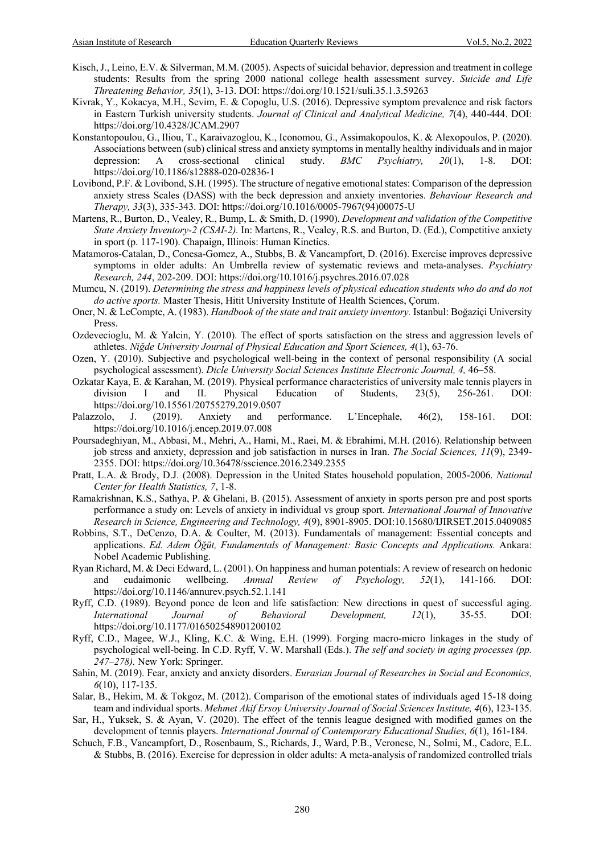- Kisch, J., Leino, E.V. & Silverman, M.M. (2005). Aspects of suicidal behavior, depression and treatment in college students: Results from the spring 2000 national college health assessment survey. *Suicide and Life Threatening Behavior, 35*(1), 3-13. DOI: https://doi.org/10.1521/suli.35.1.3.59263
- Kivrak, Y., Kokacya, M.H., Sevim, E. & Copoglu, U.S. (2016). Depressive symptom prevalence and risk factors in Eastern Turkish university students. *Journal of Clinical and Analytical Medicine, 7*(4), 440-444. DOI: https://doi.org/10.4328/JCAM.2907
- Konstantopoulou, G., Iliou, T., Karaivazoglou, K., Iconomou, G., Assimakopoulos, K. & Alexopoulos, P. (2020). Associations between (sub) clinical stress and anxiety symptoms in mentally healthy individuals and in major depression: A cross-sectional clinical study. *BMC Psychiatry, 20*(1), 1-8. DOI: https://doi.org/10.1186/s12888-020-02836-1
- Lovibond, P.F. & Lovibond, S.H. (1995). The structure of negative emotional states: Comparison of the depression anxiety stress Scales (DASS) with the beck depression and anxiety inventories. *Behaviour Research and Therapy, 33*(3), 335-343. DOI: https://doi.org/10.1016/0005-7967(94)00075-U
- Martens, R., Burton, D., Vealey, R., Bump, L. & Smith, D. (1990). *Development and validation of the Competitive State Anxiety Inventory-2 (CSAI-2).* In: Martens, R., Vealey, R.S. and Burton, D. (Ed.), Competitive anxiety in sport (p. 117-190). Chapaign, Illinois: Human Kinetics.
- Matamoros-Catalan, D., Conesa-Gomez, A., Stubbs, B. & Vancampfort, D. (2016). Exercise improves depressive symptoms in older adults: An Umbrella review of systematic reviews and meta-analyses. *Psychiatry Research, 244*, 202-209. DOI: https://doi.org/10.1016/j.psychres.2016.07.028
- Mumcu, N. (2019). *Determining the stress and happiness levels of physical education students who do and do not do active sports.* Master Thesis, Hitit University Institute of Health Sciences, Çorum.
- Oner, N. & LeCompte, A. (1983). *Handbook of the state and trait anxiety inventory.* Istanbul: Boğaziçi University Press.
- Ozdevecioglu, M. & Yalcin, Y. (2010). The effect of sports satisfaction on the stress and aggression levels of athletes. *Niğde University Journal of Physical Education and Sport Sciences, 4*(1), 63-76.
- Ozen, Y. (2010). Subjective and psychological well-being in the context of personal responsibility (A social psychological assessment). *Dicle University Social Sciences Institute Electronic Journal*, 4, 46–58.
- Ozkatar Kaya, E. & Karahan, M. (2019). Physical performance characteristics of university male tennis players in division I and II. Physical Education of Students, 23(5), 256-261. DOI: https://doi.org/10.15561/20755279.2019.0507
- Palazzolo, J. (2019). Anxiety and performance. L'Encephale, 46(2), 158-161. DOI: https://doi.org/10.1016/j.encep.2019.07.008
- Poursadeghiyan, M., Abbasi, M., Mehri, A., Hami, M., Raei, M. & Ebrahimi, M.H. (2016). Relationship between job stress and anxiety, depression and job satisfaction in nurses in Iran. *The Social Sciences, 11*(9), 2349- 2355. DOI: https://doi.org/10.36478/sscience.2016.2349.2355
- Pratt, L.A. & Brody, D.J. (2008). Depression in the United States household population, 2005-2006. *National Center for Health Statistics, 7*, 1-8.
- Ramakrishnan, K.S., Sathya, P. & Ghelani, B. (2015). Assessment of anxiety in sports person pre and post sports performance a study on: Levels of anxiety in individual vs group sport. *International Journal of Innovative Research in Science, Engineering and Technology, 4*(9), 8901-8905. DOI:10.15680/IJIRSET.2015.0409085
- Robbins, S.T., DeCenzo, D.A. & Coulter, M. (2013). Fundamentals of management: Essential concepts and applications. *Ed. Adem Öğüt, Fundamentals of Management: Basic Concepts and Applications.* Ankara: Nobel Academic Publishing.
- Ryan Richard, M. & Deci Edward, L. (2001). On happiness and human potentials: A review of research on hedonic and eudaimonic wellbeing. *Annual Review of Psychology, 52*(1), 141-166. DOI: https://doi.org/10.1146/annurev.psych.52.1.141
- Ryff, C.D. (1989). Beyond ponce de leon and life satisfaction: New directions in quest of successful aging. *International Journal of Behavioral Development, 12*(1), 35-55. DOI: https://doi.org/10.1177/016502548901200102
- Ryff, C.D., Magee, W.J., Kling, K.C. & Wing, E.H. (1999). Forging macro-micro linkages in the study of psychological well-being. In C.D. Ryff, V. W. Marshall (Eds.). *The self and society in aging processes (pp. 247–278).* New York: Springer.
- Sahin, M. (2019). Fear, anxiety and anxiety disorders. *Eurasian Journal of Researches in Social and Economics, 6*(10), 117-135.
- Salar, B., Hekim, M. & Tokgoz, M. (2012). Comparison of the emotional states of individuals aged 15-18 doing team and individual sports. *Mehmet Akif Ersoy University Journal of Social Sciences Institute, 4*(6), 123-135.
- Sar, H., Yuksek, S. & Ayan, V. (2020). The effect of the tennis league designed with modified games on the development of tennis players. *International Journal of Contemporary Educational Studies, 6*(1), 161-184.
- Schuch, F.B., Vancampfort, D., Rosenbaum, S., Richards, J., Ward, P.B., Veronese, N., Solmi, M., Cadore, E.L. & Stubbs, B. (2016). Exercise for depression in older adults: A meta-analysis of randomized controlled trials